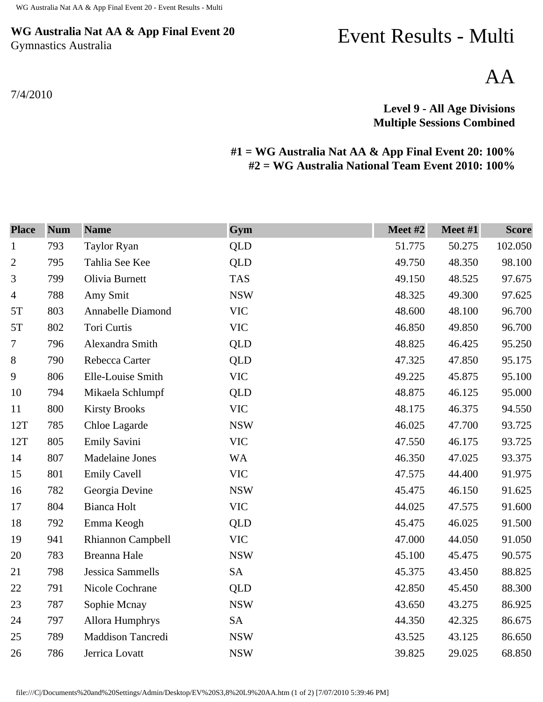## **WG Australia Nat AA & App Final Event 20** Gymnastics Australia

7/4/2010

## Event Results - Multi

AA

## **Level 9 - All Age Divisions Multiple Sessions Combined**

## **#1 = WG Australia Nat AA & App Final Event 20: 100% #2 = WG Australia National Team Event 2010: 100%**

| <b>Place</b>   | <b>Num</b> | <b>Name</b>             | Gym        | Meet #2 | Meet #1 | <b>Score</b> |
|----------------|------------|-------------------------|------------|---------|---------|--------------|
| $\mathbf{1}$   | 793        | <b>Taylor Ryan</b>      | QLD        | 51.775  | 50.275  | 102.050      |
| $\overline{2}$ | 795        | Tahlia See Kee          | <b>QLD</b> | 49.750  | 48.350  | 98.100       |
| 3              | 799        | Olivia Burnett          | <b>TAS</b> | 49.150  | 48.525  | 97.675       |
| $\overline{4}$ | 788        | Amy Smit                | <b>NSW</b> | 48.325  | 49.300  | 97.625       |
| 5T             | 803        | Annabelle Diamond       | <b>VIC</b> | 48.600  | 48.100  | 96.700       |
| 5T             | 802        | Tori Curtis             | <b>VIC</b> | 46.850  | 49.850  | 96.700       |
| 7              | 796        | Alexandra Smith         | QLD        | 48.825  | 46.425  | 95.250       |
| $\, 8$         | 790        | Rebecca Carter          | <b>QLD</b> | 47.325  | 47.850  | 95.175       |
| 9              | 806        | Elle-Louise Smith       | <b>VIC</b> | 49.225  | 45.875  | 95.100       |
| 10             | 794        | Mikaela Schlumpf        | <b>QLD</b> | 48.875  | 46.125  | 95.000       |
| 11             | 800        | <b>Kirsty Brooks</b>    | <b>VIC</b> | 48.175  | 46.375  | 94.550       |
| 12T            | 785        | Chloe Lagarde           | <b>NSW</b> | 46.025  | 47.700  | 93.725       |
| 12T            | 805        | Emily Savini            | <b>VIC</b> | 47.550  | 46.175  | 93.725       |
| 14             | 807        | Madelaine Jones         | <b>WA</b>  | 46.350  | 47.025  | 93.375       |
| 15             | 801        | <b>Emily Cavell</b>     | <b>VIC</b> | 47.575  | 44.400  | 91.975       |
| 16             | 782        | Georgia Devine          | <b>NSW</b> | 45.475  | 46.150  | 91.625       |
| 17             | 804        | Bianca Holt             | <b>VIC</b> | 44.025  | 47.575  | 91.600       |
| 18             | 792        | Emma Keogh              | <b>QLD</b> | 45.475  | 46.025  | 91.500       |
| 19             | 941        | Rhiannon Campbell       | <b>VIC</b> | 47.000  | 44.050  | 91.050       |
| 20             | 783        | Breanna Hale            | <b>NSW</b> | 45.100  | 45.475  | 90.575       |
| 21             | 798        | <b>Jessica Sammells</b> | <b>SA</b>  | 45.375  | 43.450  | 88.825       |
| 22             | 791        | Nicole Cochrane         | QLD        | 42.850  | 45.450  | 88.300       |
| 23             | 787        | Sophie Mcnay            | <b>NSW</b> | 43.650  | 43.275  | 86.925       |
| 24             | 797        | Allora Humphrys         | <b>SA</b>  | 44.350  | 42.325  | 86.675       |
| 25             | 789        | Maddison Tancredi       | <b>NSW</b> | 43.525  | 43.125  | 86.650       |
| 26             | 786        | Jerrica Lovatt          | <b>NSW</b> | 39.825  | 29.025  | 68.850       |